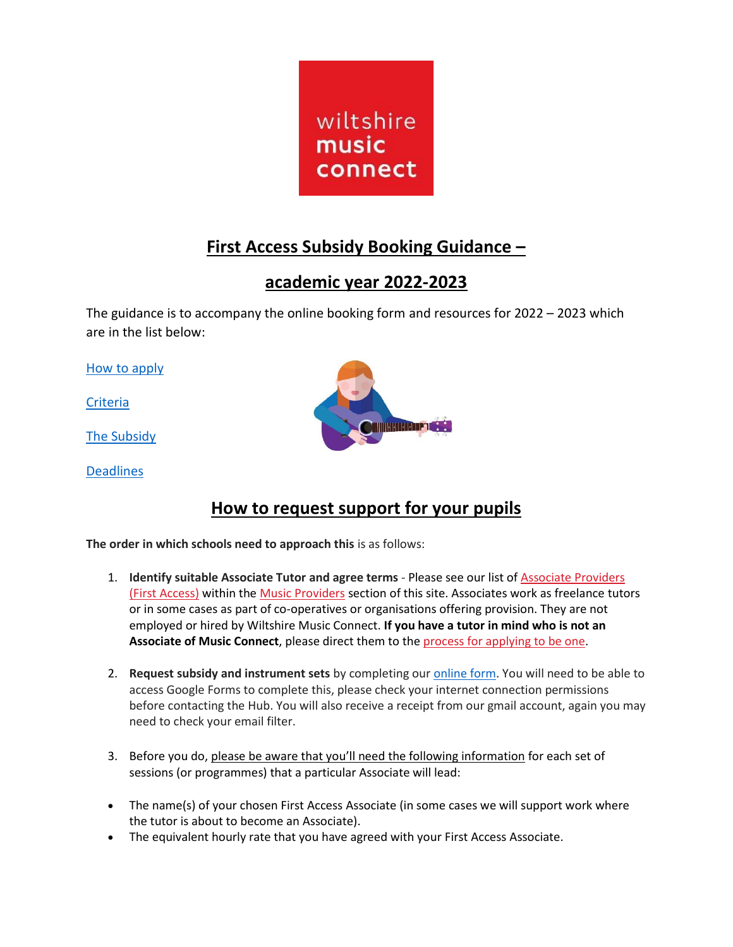

# **First Access Subsidy Booking Guidance –**

## **academic year 2022-2023**

The guidance is to accompany the online booking form and resources for 2022 – 2023 which are in the list below:

[How to apply](#page-0-0)

**[Criteria](#page-1-0)** 

[The Subsidy](#page-2-0)

<span id="page-0-0"></span>**[Deadlines](#page-2-1)** 



## **How to request support for your pupils**

**The order in which schools need to approach this** is as follows:

- 1. **Identify suitable Associate Tutor and agree terms** Please see our list of [Associate Providers](http://www.wiltshiremusicconnect.org.uk/providers/#!/badges=2f13ae6b0ce8c2978664abbe8167a95c)  [\(First Access\)](http://www.wiltshiremusicconnect.org.uk/providers/#!/badges=2f13ae6b0ce8c2978664abbe8167a95c) within the [Music Providers](http://www.wiltshiremusicconnect.org.uk/providers/) section of this site. Associates work as freelance tutors or in some cases as part of co-operatives or organisations offering provision. They are not employed or hired by Wiltshire Music Connect. **If you have a tutor in mind who is not an Associate of Music Connect**, please direct them to the [process for applying](http://www.wiltshiremusicconnect.org.uk/providers/become-an-associate/) to be one.
- 2. **Request subsidy and instrument sets** by completing our [online form.](https://wiltshiremusicconnect.org.uk/schools/first-access/support-available-for-first-access-in-your-school/#Tuition) You will need to be able to access Google Forms to complete this, please check your internet connection permissions before contacting the Hub. You will also receive a receipt from our gmail account, again you may need to check your email filter.
- 3. Before you do, please be aware that you'll need the following information for each set of sessions (or programmes) that a particular Associate will lead:
- The name(s) of your chosen First Access Associate (in some cases we will support work where the tutor is about to become an Associate).
- The equivalent hourly rate that you have agreed with your First Access Associate.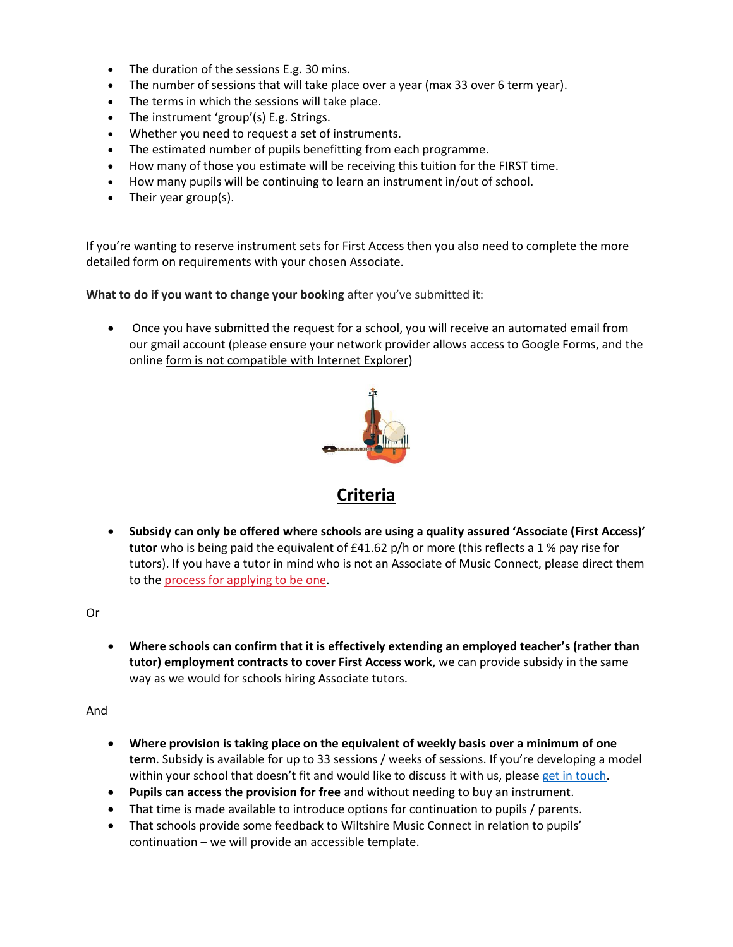- The duration of the sessions E.g. 30 mins.
- The number of sessions that will take place over a year (max 33 over 6 term year).
- The terms in which the sessions will take place.
- The instrument 'group'(s) E.g. Strings.
- Whether you need to request a set of instruments.
- The estimated number of pupils benefitting from each programme.
- How many of those you estimate will be receiving this tuition for the FIRST time.
- How many pupils will be continuing to learn an instrument in/out of school.
- Their year group(s).

If you're wanting to reserve instrument sets for First Access then you also need to complete the more detailed form on requirements with your chosen Associate.

**What to do if you want to change your booking** after you've submitted it:

<span id="page-1-0"></span>• Once you have submitted the request for a school, you will receive an automated email from our gmail account (please ensure your network provider allows access to Google Forms, and the online form is not compatible with Internet Explorer)



#### **Criteria**

• **Subsidy can only be offered where schools are using a quality assured 'Associate (First Access)' tutor** who is being paid the equivalent of £41.62 p/h or more (this reflects a 1 % pay rise for tutors). If you have a tutor in mind who is not an Associate of Music Connect, please direct them to the [process for applying](http://www.wiltshiremusicconnect.org.uk/providers/become-an-associate/) to be one.

Or

• **Where schools can confirm that it is effectively extending an employed teacher's (rather than tutor) employment contracts to cover First Access work**, we can provide subsidy in the same way as we would for schools hiring Associate tutors.

And

- **Where provision is taking place on the equivalent of weekly basis over a minimum of one term**. Subsidy is available for up to 33 sessions / weeks of sessions. If you're developing a model within your school that doesn't fit and would like to discuss it with us, please [get in touch.](mailto:martin.stewart@wiltshiremusicconnect.org.uk)
- **Pupils can access the provision for free** and without needing to buy an instrument.
- That time is made available to introduce options for continuation to pupils / parents.
- That schools provide some feedback to Wiltshire Music Connect in relation to pupils' continuation – we will provide an accessible template.